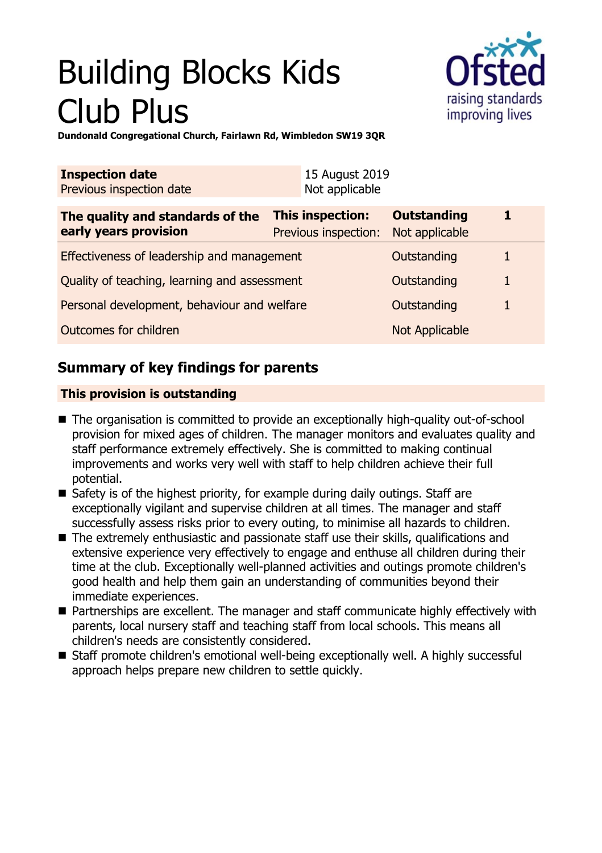# Building Blocks Kids Club Plus



**Dundonald Congregational Church, Fairlawn Rd, Wimbledon SW19 3QR**

| <b>Inspection date</b><br>Previous inspection date        | 15 August 2019<br>Not applicable         |                                      |   |
|-----------------------------------------------------------|------------------------------------------|--------------------------------------|---|
| The quality and standards of the<br>early years provision | This inspection:<br>Previous inspection: | <b>Outstanding</b><br>Not applicable |   |
| Effectiveness of leadership and management                |                                          | Outstanding                          |   |
| Quality of teaching, learning and assessment              |                                          | Outstanding                          | 1 |
| Personal development, behaviour and welfare               |                                          | Outstanding                          |   |
| Outcomes for children                                     |                                          | Not Applicable                       |   |

## **Summary of key findings for parents**

## **This provision is outstanding**

- The organisation is committed to provide an exceptionally high-quality out-of-school provision for mixed ages of children. The manager monitors and evaluates quality and staff performance extremely effectively. She is committed to making continual improvements and works very well with staff to help children achieve their full potential.
- $\blacksquare$  Safety is of the highest priority, for example during daily outings. Staff are exceptionally vigilant and supervise children at all times. The manager and staff successfully assess risks prior to every outing, to minimise all hazards to children.
- $\blacksquare$  The extremely enthusiastic and passionate staff use their skills, qualifications and extensive experience very effectively to engage and enthuse all children during their time at the club. Exceptionally well-planned activities and outings promote children's good health and help them gain an understanding of communities beyond their immediate experiences.
- Partnerships are excellent. The manager and staff communicate highly effectively with parents, local nursery staff and teaching staff from local schools. This means all children's needs are consistently considered.
- Staff promote children's emotional well-being exceptionally well. A highly successful approach helps prepare new children to settle quickly.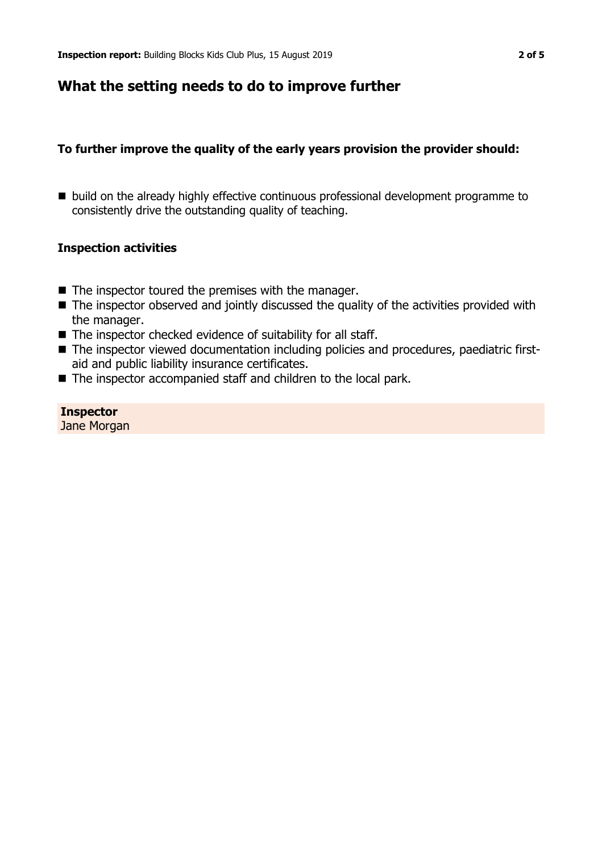## **What the setting needs to do to improve further**

### **To further improve the quality of the early years provision the provider should:**

■ build on the already highly effective continuous professional development programme to consistently drive the outstanding quality of teaching.

#### **Inspection activities**

- $\blacksquare$  The inspector toured the premises with the manager.
- $\blacksquare$  The inspector observed and jointly discussed the quality of the activities provided with the manager.
- $\blacksquare$  The inspector checked evidence of suitability for all staff.
- The inspector viewed documentation including policies and procedures, paediatric firstaid and public liability insurance certificates.
- The inspector accompanied staff and children to the local park.

## **Inspector**

Jane Morgan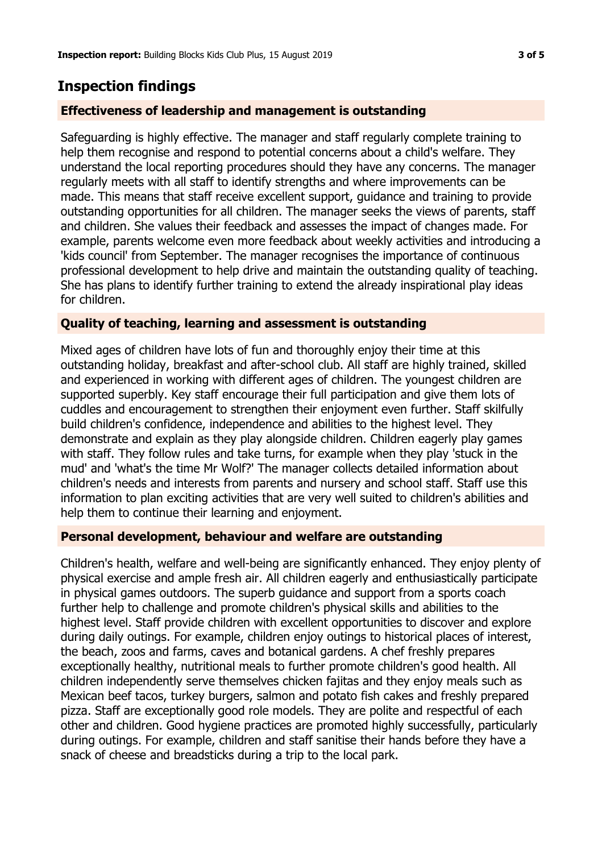## **Inspection findings**

#### **Effectiveness of leadership and management is outstanding**

Safeguarding is highly effective. The manager and staff regularly complete training to help them recognise and respond to potential concerns about a child's welfare. They understand the local reporting procedures should they have any concerns. The manager regularly meets with all staff to identify strengths and where improvements can be made. This means that staff receive excellent support, guidance and training to provide outstanding opportunities for all children. The manager seeks the views of parents, staff and children. She values their feedback and assesses the impact of changes made. For example, parents welcome even more feedback about weekly activities and introducing a 'kids council' from September. The manager recognises the importance of continuous professional development to help drive and maintain the outstanding quality of teaching. She has plans to identify further training to extend the already inspirational play ideas for children.

#### **Quality of teaching, learning and assessment is outstanding**

Mixed ages of children have lots of fun and thoroughly enjoy their time at this outstanding holiday, breakfast and after-school club. All staff are highly trained, skilled and experienced in working with different ages of children. The youngest children are supported superbly. Key staff encourage their full participation and give them lots of cuddles and encouragement to strengthen their enjoyment even further. Staff skilfully build children's confidence, independence and abilities to the highest level. They demonstrate and explain as they play alongside children. Children eagerly play games with staff. They follow rules and take turns, for example when they play 'stuck in the mud' and 'what's the time Mr Wolf?' The manager collects detailed information about children's needs and interests from parents and nursery and school staff. Staff use this information to plan exciting activities that are very well suited to children's abilities and help them to continue their learning and enjoyment.

#### **Personal development, behaviour and welfare are outstanding**

Children's health, welfare and well-being are significantly enhanced. They enjoy plenty of physical exercise and ample fresh air. All children eagerly and enthusiastically participate in physical games outdoors. The superb guidance and support from a sports coach further help to challenge and promote children's physical skills and abilities to the highest level. Staff provide children with excellent opportunities to discover and explore during daily outings. For example, children enjoy outings to historical places of interest, the beach, zoos and farms, caves and botanical gardens. A chef freshly prepares exceptionally healthy, nutritional meals to further promote children's good health. All children independently serve themselves chicken fajitas and they enjoy meals such as Mexican beef tacos, turkey burgers, salmon and potato fish cakes and freshly prepared pizza. Staff are exceptionally good role models. They are polite and respectful of each other and children. Good hygiene practices are promoted highly successfully, particularly during outings. For example, children and staff sanitise their hands before they have a snack of cheese and breadsticks during a trip to the local park.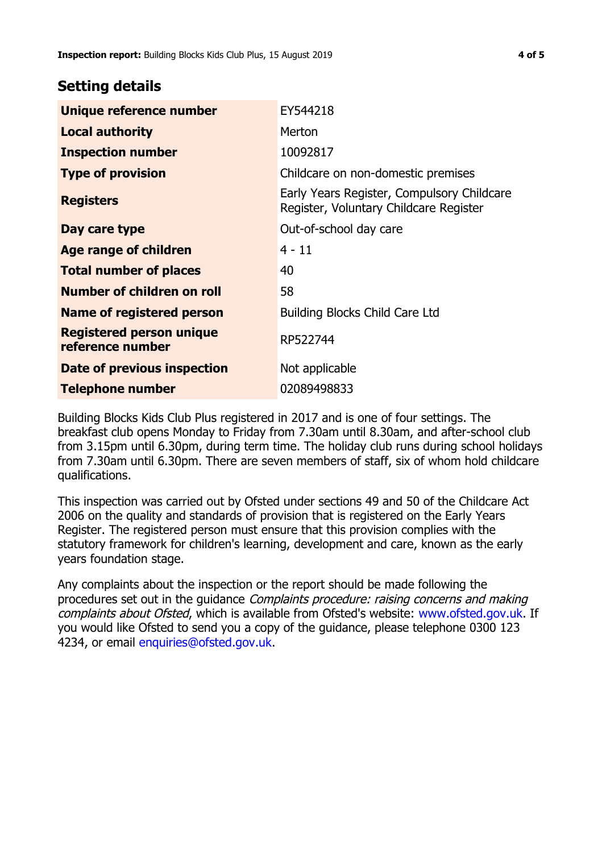## **Setting details**

| Unique reference number                             | EY544218                                                                             |  |
|-----------------------------------------------------|--------------------------------------------------------------------------------------|--|
| <b>Local authority</b>                              | Merton                                                                               |  |
| <b>Inspection number</b>                            | 10092817                                                                             |  |
| <b>Type of provision</b>                            | Childcare on non-domestic premises                                                   |  |
| <b>Registers</b>                                    | Early Years Register, Compulsory Childcare<br>Register, Voluntary Childcare Register |  |
| Day care type                                       | Out-of-school day care                                                               |  |
| Age range of children                               | $4 - 11$                                                                             |  |
| <b>Total number of places</b>                       | 40                                                                                   |  |
| Number of children on roll                          | 58                                                                                   |  |
| Name of registered person                           | <b>Building Blocks Child Care Ltd</b>                                                |  |
| <b>Registered person unique</b><br>reference number | RP522744                                                                             |  |
| Date of previous inspection                         | Not applicable                                                                       |  |
| <b>Telephone number</b>                             | 02089498833                                                                          |  |

Building Blocks Kids Club Plus registered in 2017 and is one of four settings. The breakfast club opens Monday to Friday from 7.30am until 8.30am, and after-school club from 3.15pm until 6.30pm, during term time. The holiday club runs during school holidays from 7.30am until 6.30pm. There are seven members of staff, six of whom hold childcare qualifications.

This inspection was carried out by Ofsted under sections 49 and 50 of the Childcare Act 2006 on the quality and standards of provision that is registered on the Early Years Register. The registered person must ensure that this provision complies with the statutory framework for children's learning, development and care, known as the early years foundation stage.

Any complaints about the inspection or the report should be made following the procedures set out in the guidance Complaints procedure: raising concerns and making complaints about Ofsted, which is available from Ofsted's website: www.ofsted.gov.uk. If you would like Ofsted to send you a copy of the guidance, please telephone 0300 123 4234, or email [enquiries@ofsted.gov.uk.](mailto:enquiries@ofsted.gov.uk)